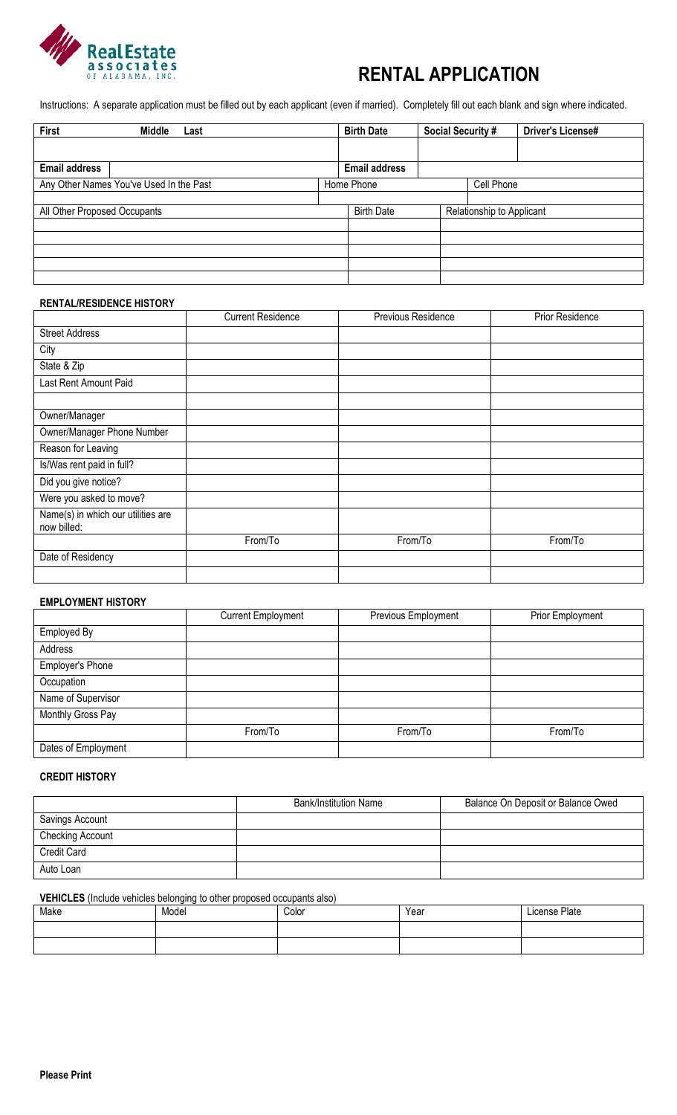

# **RENTAL APPLICATION**

Instructions: A separate application must be filled out by each applicant (even if married). Completely fill out each blank and sign where indicated.

| First                        | Middle<br>Last                          | <b>Birth Date</b>    | <b>Social Security #</b> |                           | <b>Driver's License#</b> |
|------------------------------|-----------------------------------------|----------------------|--------------------------|---------------------------|--------------------------|
|                              |                                         |                      |                          |                           |                          |
| <b>Email address</b>         |                                         | <b>Email address</b> |                          |                           |                          |
|                              | Any Other Names You've Used In the Past | Home Phone           |                          | Cell Phone                |                          |
|                              |                                         |                      |                          |                           |                          |
| All Other Proposed Occupants |                                         | <b>Birth Date</b>    |                          | Relationship to Applicant |                          |
|                              |                                         |                      |                          |                           |                          |
|                              |                                         |                      |                          |                           |                          |
|                              |                                         |                      |                          |                           |                          |
|                              |                                         |                      |                          |                           |                          |
|                              |                                         |                      |                          |                           |                          |

## **RENTAL/RESIDENCE HISTORY**

|                                                   | <b>Current Residence</b> | <b>Previous Residence</b> | <b>Prior Residence</b> |
|---------------------------------------------------|--------------------------|---------------------------|------------------------|
| <b>Street Address</b>                             |                          |                           |                        |
| City                                              |                          |                           |                        |
| State & Zip                                       |                          |                           |                        |
| Last Rent Amount Paid                             |                          |                           |                        |
|                                                   |                          |                           |                        |
| Owner/Manager                                     |                          |                           |                        |
| Owner/Manager Phone Number                        |                          |                           |                        |
| Reason for Leaving                                |                          |                           |                        |
| Is/Was rent paid in full?                         |                          |                           |                        |
| Did you give notice?                              |                          |                           |                        |
| Were you asked to move?                           |                          |                           |                        |
| Name(s) in which our utilities are<br>now billed: |                          |                           |                        |
|                                                   | From/To                  | From/To                   | From/To                |
| Date of Residency                                 |                          |                           |                        |
|                                                   |                          |                           |                        |

#### **EMPLOYMENT HISTORY**

|                     | <b>Current Employment</b> | Previous Employment | Prior Employment |
|---------------------|---------------------------|---------------------|------------------|
| Employed By         |                           |                     |                  |
| Address             |                           |                     |                  |
| Employer's Phone    |                           |                     |                  |
| Occupation          |                           |                     |                  |
| Name of Supervisor  |                           |                     |                  |
| Monthly Gross Pay   |                           |                     |                  |
|                     | From/To                   | From/To             | From/To          |
| Dates of Employment |                           |                     |                  |

## **CREDIT HISTORY**

|                    | <b>Bank/Institution Name</b> | Balance On Deposit or Balance Owed |
|--------------------|------------------------------|------------------------------------|
| Savings Account    |                              |                                    |
| Checking Account   |                              |                                    |
| <b>Credit Card</b> |                              |                                    |
| Auto Loan          |                              |                                    |

#### **VEHICLES** (Include vehicles belonging to other proposed occupants also)

| Make | . .<br>______<br>Model | Color | Year | License Plate |
|------|------------------------|-------|------|---------------|
|      |                        |       |      |               |
|      |                        |       |      |               |